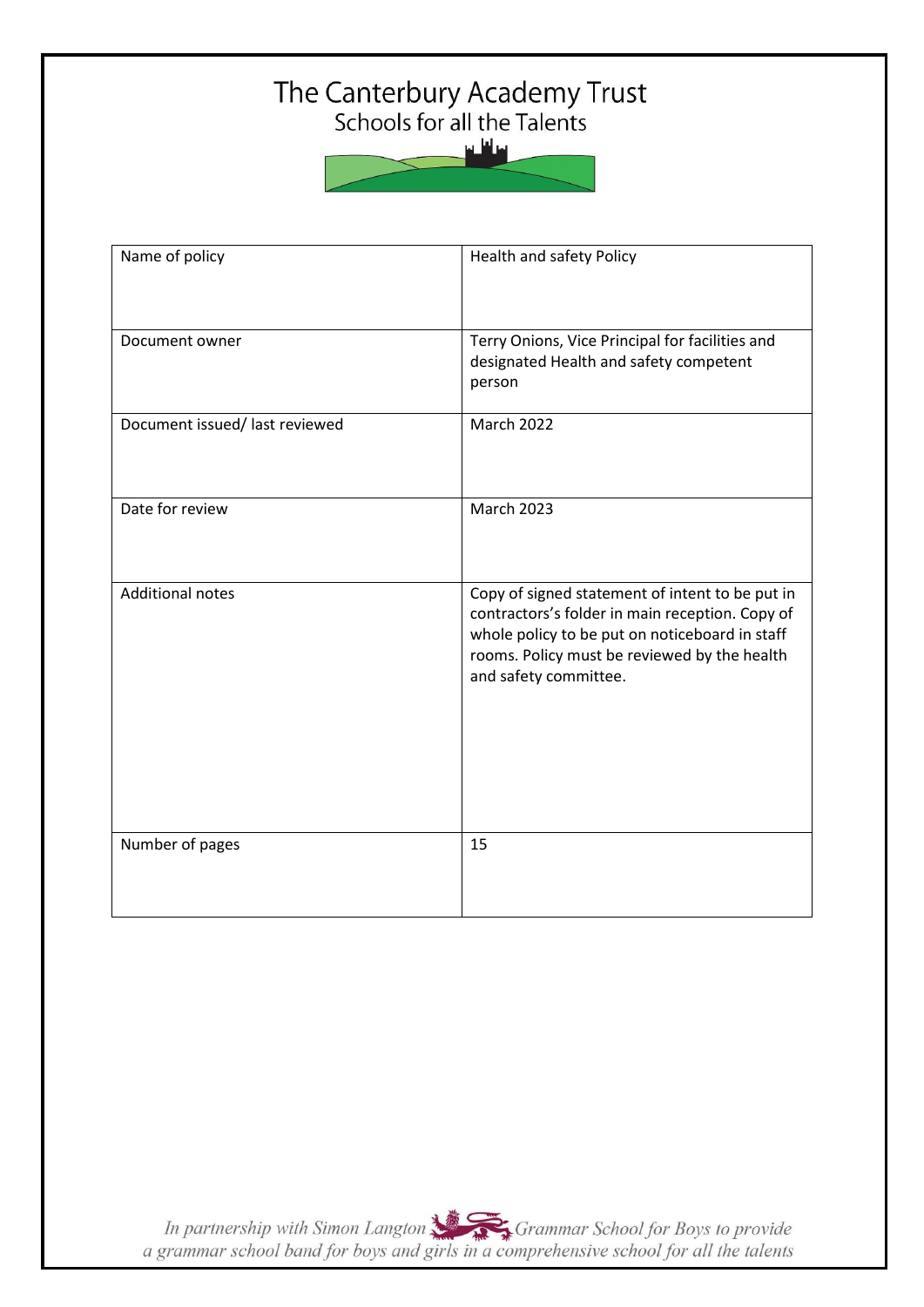# The Canterbury Academy Trust<br>Schools for all the Talents



| Name of policy                 | Health and safety Policy                                                                                                                                                                                                      |
|--------------------------------|-------------------------------------------------------------------------------------------------------------------------------------------------------------------------------------------------------------------------------|
| Document owner                 | Terry Onions, Vice Principal for facilities and<br>designated Health and safety competent<br>person                                                                                                                           |
| Document issued/ last reviewed | <b>March 2022</b>                                                                                                                                                                                                             |
| Date for review                | <b>March 2023</b>                                                                                                                                                                                                             |
| <b>Additional notes</b>        | Copy of signed statement of intent to be put in<br>contractors's folder in main reception. Copy of<br>whole policy to be put on noticeboard in staff<br>rooms. Policy must be reviewed by the health<br>and safety committee. |
| Number of pages                | 15                                                                                                                                                                                                                            |

In partnership with Simon Langton Sexting Grammar School for Boys to provide<br>a grammar school band for boys and girls in a comprehensive school for all the talents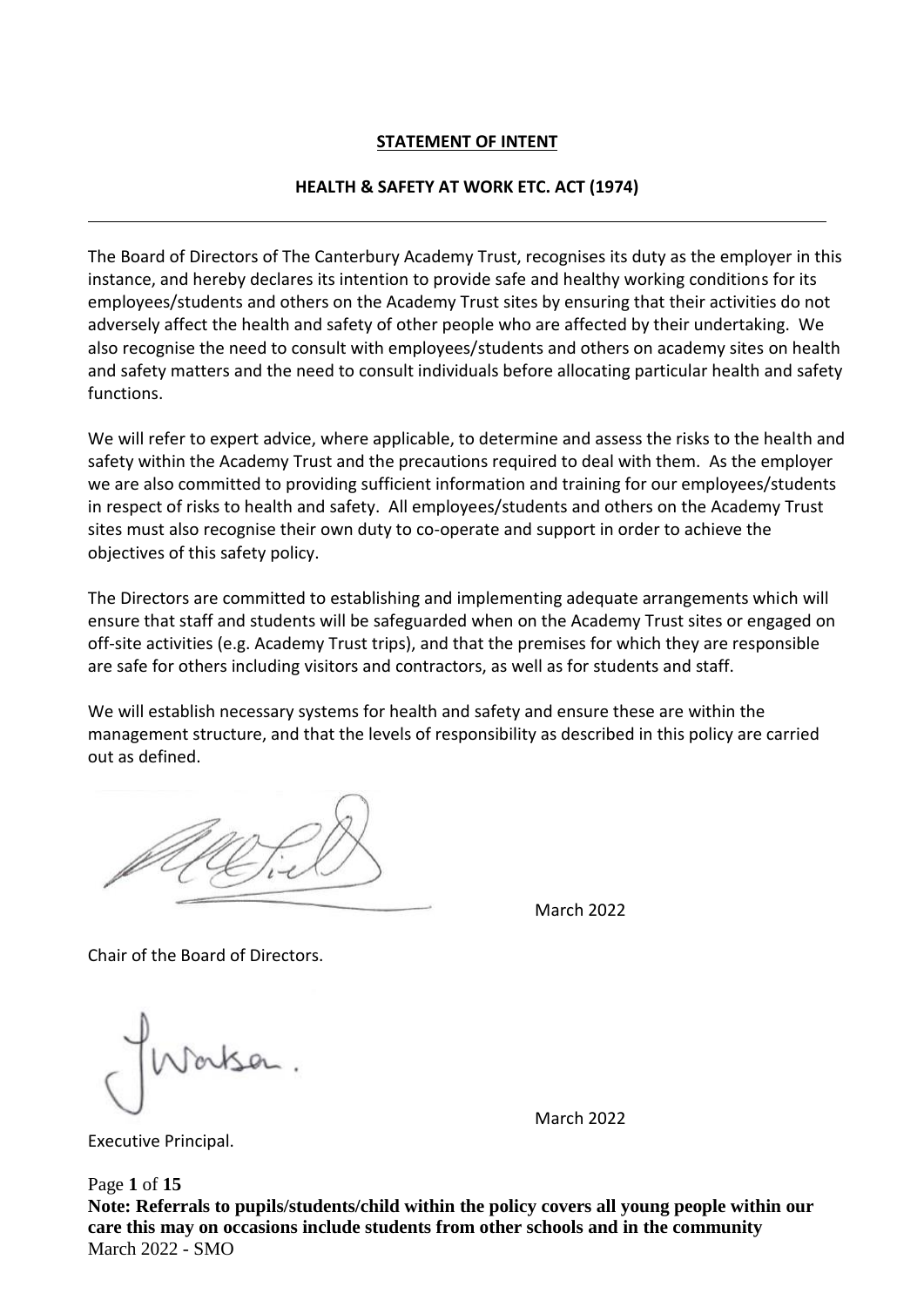## **STATEMENT OF INTENT**

#### **HEALTH & SAFETY AT WORK ETC. ACT (1974)**

The Board of Directors of The Canterbury Academy Trust, recognises its duty as the employer in this instance, and hereby declares its intention to provide safe and healthy working conditions for its employees/students and others on the Academy Trust sites by ensuring that their activities do not adversely affect the health and safety of other people who are affected by their undertaking. We also recognise the need to consult with employees/students and others on academy sites on health and safety matters and the need to consult individuals before allocating particular health and safety functions.

We will refer to expert advice, where applicable, to determine and assess the risks to the health and safety within the Academy Trust and the precautions required to deal with them. As the employer we are also committed to providing sufficient information and training for our employees/students in respect of risks to health and safety. All employees/students and others on the Academy Trust sites must also recognise their own duty to co-operate and support in order to achieve the objectives of this safety policy.

The Directors are committed to establishing and implementing adequate arrangements which will ensure that staff and students will be safeguarded when on the Academy Trust sites or engaged on off-site activities (e.g. Academy Trust trips), and that the premises for which they are responsible are safe for others including visitors and contractors, as well as for students and staff.

We will establish necessary systems for health and safety and ensure these are within the management structure, and that the levels of responsibility as described in this policy are carried out as defined.

March 2022

Chair of the Board of Directors.

March 2022

Executive Principal.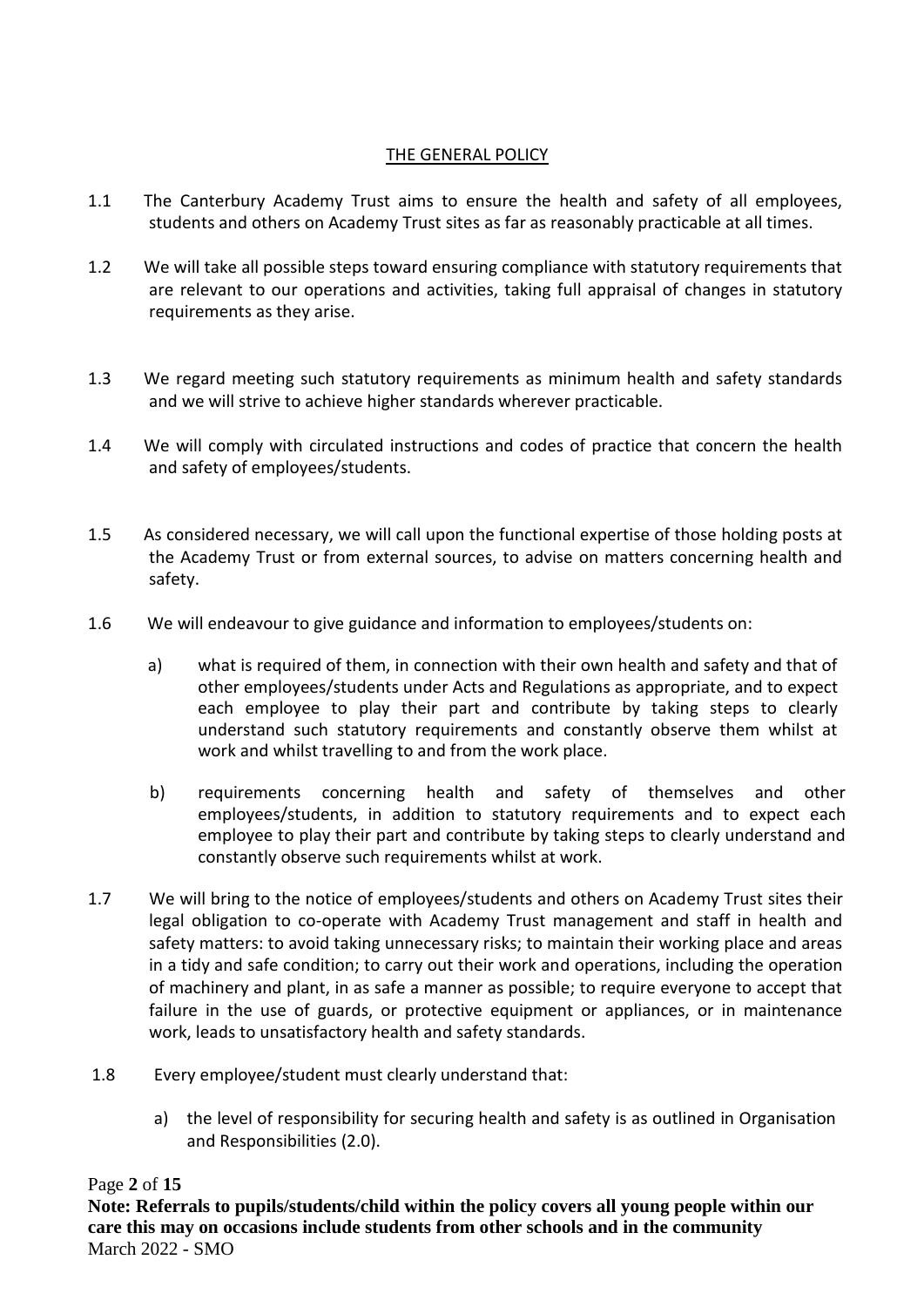## THE GENERAL POLICY

- 1.1 The Canterbury Academy Trust aims to ensure the health and safety of all employees, students and others on Academy Trust sites as far as reasonably practicable at all times.
- 1.2 We will take all possible steps toward ensuring compliance with statutory requirements that are relevant to our operations and activities, taking full appraisal of changes in statutory requirements as they arise.
- 1.3 We regard meeting such statutory requirements as minimum health and safety standards and we will strive to achieve higher standards wherever practicable.
- 1.4 We will comply with circulated instructions and codes of practice that concern the health and safety of employees/students.
- 1.5 As considered necessary, we will call upon the functional expertise of those holding posts at the Academy Trust or from external sources, to advise on matters concerning health and safety.
- 1.6 We will endeavour to give guidance and information to employees/students on:
	- a) what is required of them, in connection with their own health and safety and that of other employees/students under Acts and Regulations as appropriate, and to expect each employee to play their part and contribute by taking steps to clearly understand such statutory requirements and constantly observe them whilst at work and whilst travelling to and from the work place.
	- b) requirements concerning health and safety of themselves and other employees/students, in addition to statutory requirements and to expect each employee to play their part and contribute by taking steps to clearly understand and constantly observe such requirements whilst at work.
- 1.7 We will bring to the notice of employees/students and others on Academy Trust sites their legal obligation to co-operate with Academy Trust management and staff in health and safety matters: to avoid taking unnecessary risks; to maintain their working place and areas in a tidy and safe condition; to carry out their work and operations, including the operation of machinery and plant, in as safe a manner as possible; to require everyone to accept that failure in the use of guards, or protective equipment or appliances, or in maintenance work, leads to unsatisfactory health and safety standards.
- 1.8 Every employee/student must clearly understand that:
	- a) the level of responsibility for securing health and safety is as outlined in Organisation and Responsibilities (2.0).

## Page **2** of **15**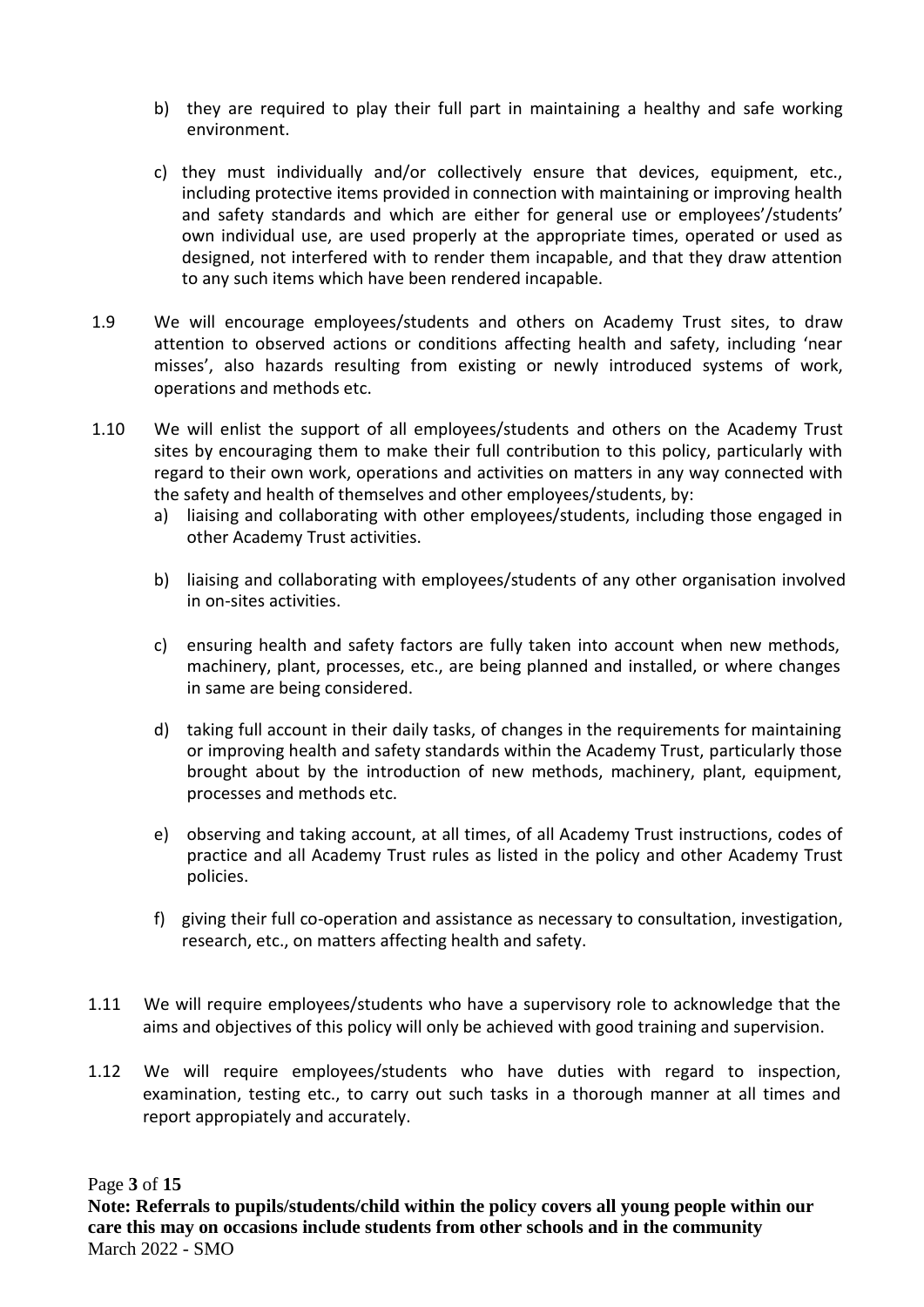- b) they are required to play their full part in maintaining a healthy and safe working environment.
- c) they must individually and/or collectively ensure that devices, equipment, etc., including protective items provided in connection with maintaining or improving health and safety standards and which are either for general use or employees'/students' own individual use, are used properly at the appropriate times, operated or used as designed, not interfered with to render them incapable, and that they draw attention to any such items which have been rendered incapable.
- 1.9 We will encourage employees/students and others on Academy Trust sites, to draw attention to observed actions or conditions affecting health and safety, including 'near misses', also hazards resulting from existing or newly introduced systems of work, operations and methods etc.
- 1.10 We will enlist the support of all employees/students and others on the Academy Trust sites by encouraging them to make their full contribution to this policy, particularly with regard to their own work, operations and activities on matters in any way connected with the safety and health of themselves and other employees/students, by:
	- a) liaising and collaborating with other employees/students, including those engaged in other Academy Trust activities.
	- b) liaising and collaborating with employees/students of any other organisation involved in on-sites activities.
	- c) ensuring health and safety factors are fully taken into account when new methods, machinery, plant, processes, etc., are being planned and installed, or where changes in same are being considered.
	- d) taking full account in their daily tasks, of changes in the requirements for maintaining or improving health and safety standards within the Academy Trust, particularly those brought about by the introduction of new methods, machinery, plant, equipment, processes and methods etc.
	- e) observing and taking account, at all times, of all Academy Trust instructions, codes of practice and all Academy Trust rules as listed in the policy and other Academy Trust policies.
	- f) giving their full co-operation and assistance as necessary to consultation, investigation, research, etc., on matters affecting health and safety.
- 1.11 We will require employees/students who have a supervisory role to acknowledge that the aims and objectives of this policy will only be achieved with good training and supervision.
- 1.12 We will require employees/students who have duties with regard to inspection, examination, testing etc., to carry out such tasks in a thorough manner at all times and report appropiately and accurately.

## Page **3** of **15**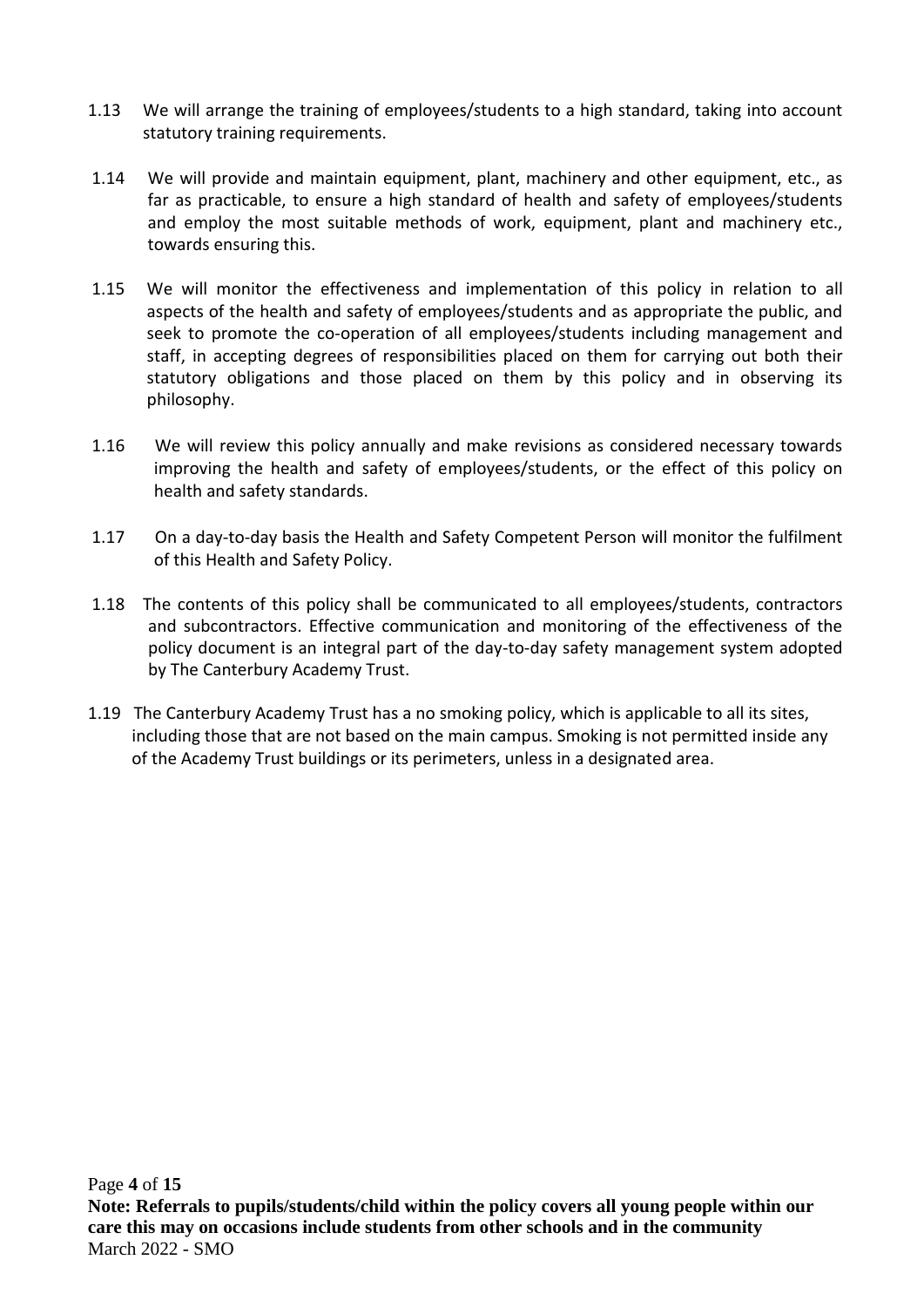- 1.13 We will arrange the training of employees/students to a high standard, taking into account statutory training requirements.
- 1.14 We will provide and maintain equipment, plant, machinery and other equipment, etc., as far as practicable, to ensure a high standard of health and safety of employees/students and employ the most suitable methods of work, equipment, plant and machinery etc., towards ensuring this.
- 1.15 We will monitor the effectiveness and implementation of this policy in relation to all aspects of the health and safety of employees/students and as appropriate the public, and seek to promote the co-operation of all employees/students including management and staff, in accepting degrees of responsibilities placed on them for carrying out both their statutory obligations and those placed on them by this policy and in observing its philosophy.
- 1.16 We will review this policy annually and make revisions as considered necessary towards improving the health and safety of employees/students, or the effect of this policy on health and safety standards.
- 1.17 On a day-to-day basis the Health and Safety Competent Person will monitor the fulfilment of this Health and Safety Policy.
- 1.18 The contents of this policy shall be communicated to all employees/students, contractors and subcontractors. Effective communication and monitoring of the effectiveness of the policy document is an integral part of the day-to-day safety management system adopted by The Canterbury Academy Trust.
- 1.19 The Canterbury Academy Trust has a no smoking policy, which is applicable to all its sites, including those that are not based on the main campus. Smoking is not permitted inside any of the Academy Trust buildings or its perimeters, unless in a designated area.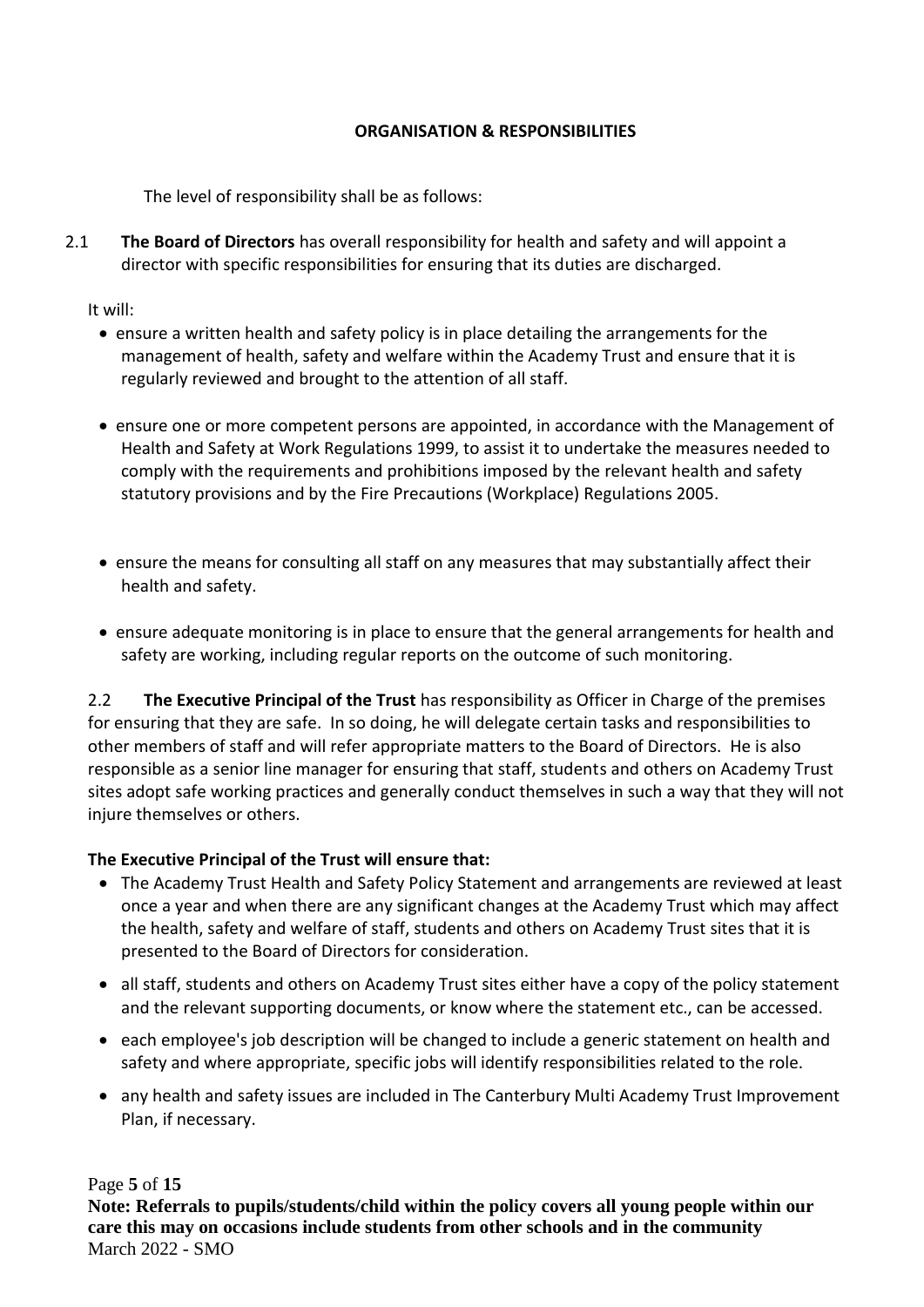#### **ORGANISATION & RESPONSIBILITIES**

The level of responsibility shall be as follows:

2.1 **The Board of Directors** has overall responsibility for health and safety and will appoint a director with specific responsibilities for ensuring that its duties are discharged.

It will:

- ensure a written health and safety policy is in place detailing the arrangements for the management of health, safety and welfare within the Academy Trust and ensure that it is regularly reviewed and brought to the attention of all staff.
- ensure one or more competent persons are appointed, in accordance with the Management of Health and Safety at Work Regulations 1999, to assist it to undertake the measures needed to comply with the requirements and prohibitions imposed by the relevant health and safety statutory provisions and by the Fire Precautions (Workplace) Regulations 2005.
- ensure the means for consulting all staff on any measures that may substantially affect their health and safety.
- ensure adequate monitoring is in place to ensure that the general arrangements for health and safety are working, including regular reports on the outcome of such monitoring.

2.2 **The Executive Principal of the Trust** has responsibility as Officer in Charge of the premises for ensuring that they are safe. In so doing, he will delegate certain tasks and responsibilities to other members of staff and will refer appropriate matters to the Board of Directors. He is also responsible as a senior line manager for ensuring that staff, students and others on Academy Trust sites adopt safe working practices and generally conduct themselves in such a way that they will not injure themselves or others.

## **The Executive Principal of the Trust will ensure that:**

- The Academy Trust Health and Safety Policy Statement and arrangements are reviewed at least once a year and when there are any significant changes at the Academy Trust which may affect the health, safety and welfare of staff, students and others on Academy Trust sites that it is presented to the Board of Directors for consideration.
- all staff, students and others on Academy Trust sites either have a copy of the policy statement and the relevant supporting documents, or know where the statement etc., can be accessed.
- each employee's job description will be changed to include a generic statement on health and safety and where appropriate, specific jobs will identify responsibilities related to the role.
- any health and safety issues are included in The Canterbury Multi Academy Trust Improvement Plan, if necessary.

Page **5** of **15**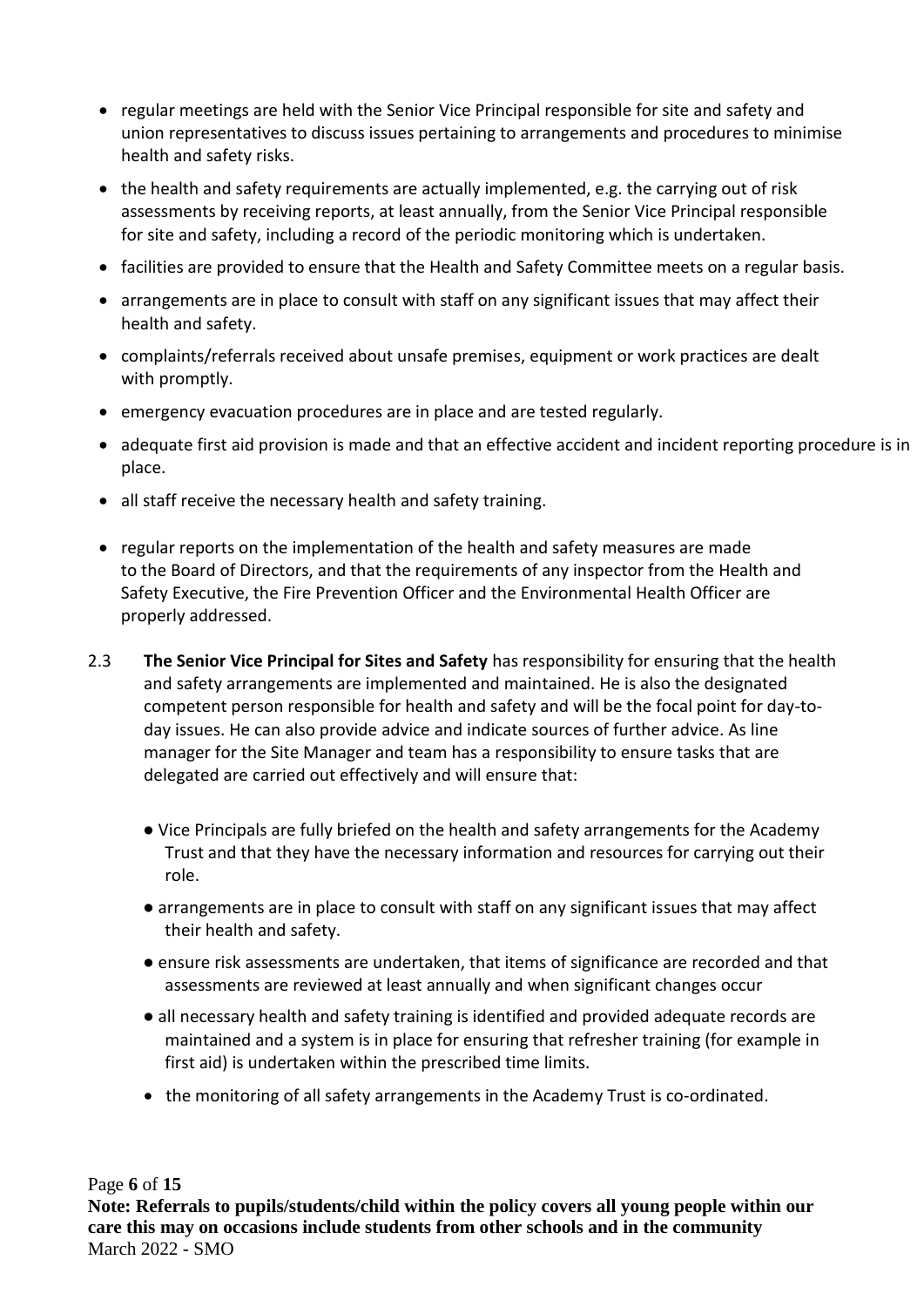- regular meetings are held with the Senior Vice Principal responsible for site and safety and union representatives to discuss issues pertaining to arrangements and procedures to minimise health and safety risks.
- the health and safety requirements are actually implemented, e.g. the carrying out of risk assessments by receiving reports, at least annually, from the Senior Vice Principal responsible for site and safety, including a record of the periodic monitoring which is undertaken.
- facilities are provided to ensure that the Health and Safety Committee meets on a regular basis.
- arrangements are in place to consult with staff on any significant issues that may affect their health and safety.
- complaints/referrals received about unsafe premises, equipment or work practices are dealt with promptly.
- emergency evacuation procedures are in place and are tested regularly.
- adequate first aid provision is made and that an effective accident and incident reporting procedure is in place.
- all staff receive the necessary health and safety training.
- regular reports on the implementation of the health and safety measures are made to the Board of Directors, and that the requirements of any inspector from the Health and Safety Executive, the Fire Prevention Officer and the Environmental Health Officer are properly addressed.
- 2.3 **The Senior Vice Principal for Sites and Safety** has responsibility for ensuring that the health and safety arrangements are implemented and maintained. He is also the designated competent person responsible for health and safety and will be the focal point for day-today issues. He can also provide advice and indicate sources of further advice. As line manager for the Site Manager and team has a responsibility to ensure tasks that are delegated are carried out effectively and will ensure that:
	- Vice Principals are fully briefed on the health and safety arrangements for the Academy Trust and that they have the necessary information and resources for carrying out their role.
	- arrangements are in place to consult with staff on any significant issues that may affect their health and safety.
	- ensure risk assessments are undertaken, that items of significance are recorded and that assessments are reviewed at least annually and when significant changes occur
	- all necessary health and safety training is identified and provided adequate records are maintained and a system is in place for ensuring that refresher training (for example in first aid) is undertaken within the prescribed time limits.
	- the monitoring of all safety arrangements in the Academy Trust is co-ordinated.

Page **6** of **15**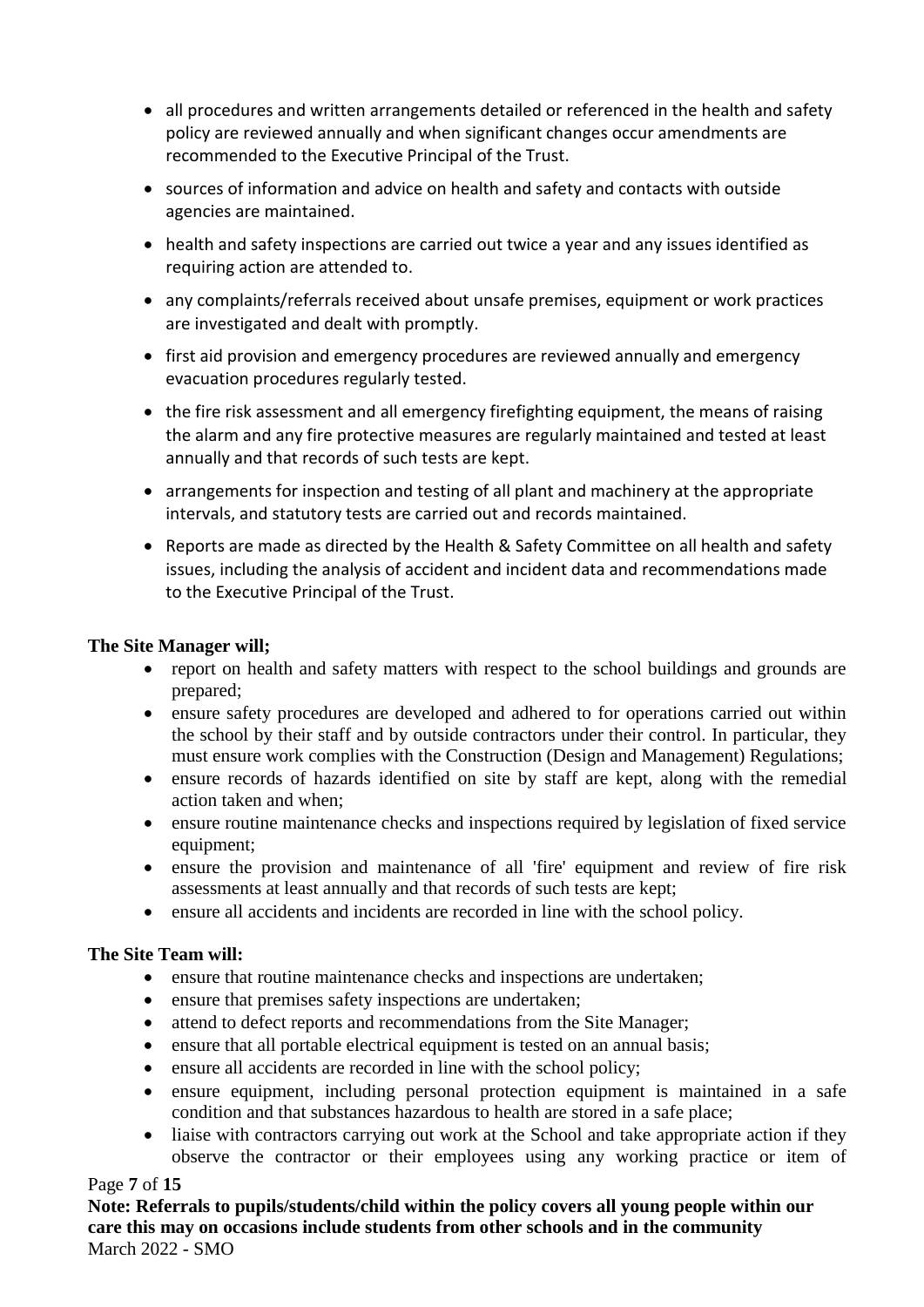- all procedures and written arrangements detailed or referenced in the health and safety policy are reviewed annually and when significant changes occur amendments are recommended to the Executive Principal of the Trust.
- sources of information and advice on health and safety and contacts with outside agencies are maintained.
- health and safety inspections are carried out twice a year and any issues identified as requiring action are attended to.
- any complaints/referrals received about unsafe premises, equipment or work practices are investigated and dealt with promptly.
- first aid provision and emergency procedures are reviewed annually and emergency evacuation procedures regularly tested.
- the fire risk assessment and all emergency firefighting equipment, the means of raising the alarm and any fire protective measures are regularly maintained and tested at least annually and that records of such tests are kept.
- arrangements for inspection and testing of all plant and machinery at the appropriate intervals, and statutory tests are carried out and records maintained.
- Reports are made as directed by the Health & Safety Committee on all health and safety issues, including the analysis of accident and incident data and recommendations made to the Executive Principal of the Trust.

# **The Site Manager will;**

- report on health and safety matters with respect to the school buildings and grounds are prepared;
- ensure safety procedures are developed and adhered to for operations carried out within the school by their staff and by outside contractors under their control. In particular, they must ensure work complies with the Construction (Design and Management) Regulations;
- ensure records of hazards identified on site by staff are kept, along with the remedial action taken and when;
- ensure routine maintenance checks and inspections required by legislation of fixed service equipment;
- ensure the provision and maintenance of all 'fire' equipment and review of fire risk assessments at least annually and that records of such tests are kept;
- ensure all accidents and incidents are recorded in line with the school policy.

## **The Site Team will:**

- ensure that routine maintenance checks and inspections are undertaken;
- ensure that premises safety inspections are undertaken;
- attend to defect reports and recommendations from the Site Manager;
- ensure that all portable electrical equipment is tested on an annual basis;
- ensure all accidents are recorded in line with the school policy;
- ensure equipment, including personal protection equipment is maintained in a safe condition and that substances hazardous to health are stored in a safe place;
- liaise with contractors carrying out work at the School and take appropriate action if they observe the contractor or their employees using any working practice or item of

## Page **7** of **15**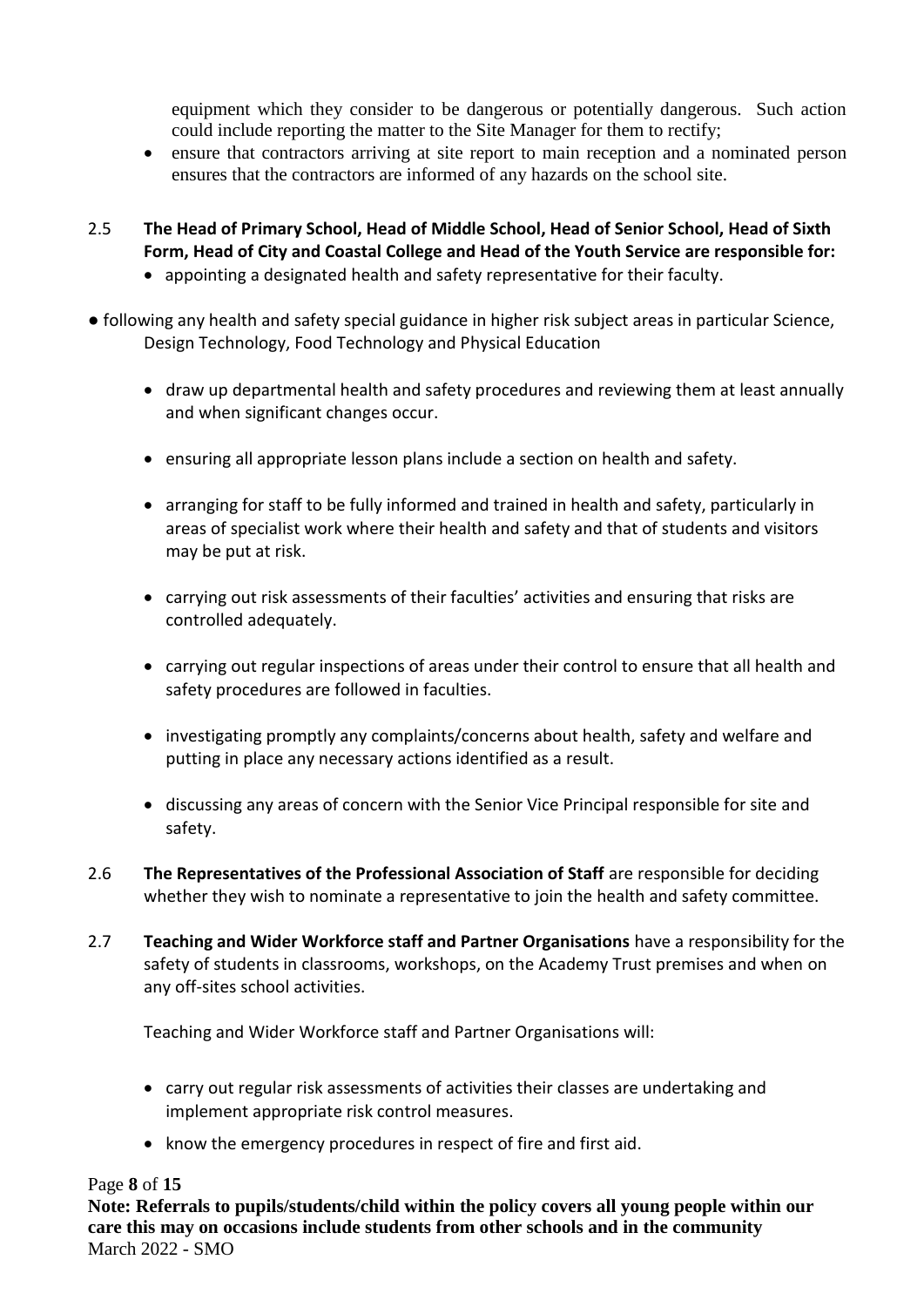equipment which they consider to be dangerous or potentially dangerous. Such action could include reporting the matter to the Site Manager for them to rectify;

- ensure that contractors arriving at site report to main reception and a nominated person ensures that the contractors are informed of any hazards on the school site.
- 2.5 **The Head of Primary School, Head of Middle School, Head of Senior School, Head of Sixth Form, Head of City and Coastal College and Head of the Youth Service are responsible for:**
	- appointing a designated health and safety representative for their faculty.
- following any health and safety special guidance in higher risk subject areas in particular Science, Design Technology, Food Technology and Physical Education
	- draw up departmental health and safety procedures and reviewing them at least annually and when significant changes occur.
	- ensuring all appropriate lesson plans include a section on health and safety.
	- arranging for staff to be fully informed and trained in health and safety, particularly in areas of specialist work where their health and safety and that of students and visitors may be put at risk.
	- carrying out risk assessments of their faculties' activities and ensuring that risks are controlled adequately.
	- carrying out regular inspections of areas under their control to ensure that all health and safety procedures are followed in faculties.
	- investigating promptly any complaints/concerns about health, safety and welfare and putting in place any necessary actions identified as a result.
	- discussing any areas of concern with the Senior Vice Principal responsible for site and safety.
- 2.6 **The Representatives of the Professional Association of Staff** are responsible for deciding whether they wish to nominate a representative to join the health and safety committee.
- 2.7 **Teaching and Wider Workforce staff and Partner Organisations** have a responsibility for the safety of students in classrooms, workshops, on the Academy Trust premises and when on any off-sites school activities.

Teaching and Wider Workforce staff and Partner Organisations will:

- carry out regular risk assessments of activities their classes are undertaking and implement appropriate risk control measures.
- know the emergency procedures in respect of fire and first aid.

#### Page **8** of **15**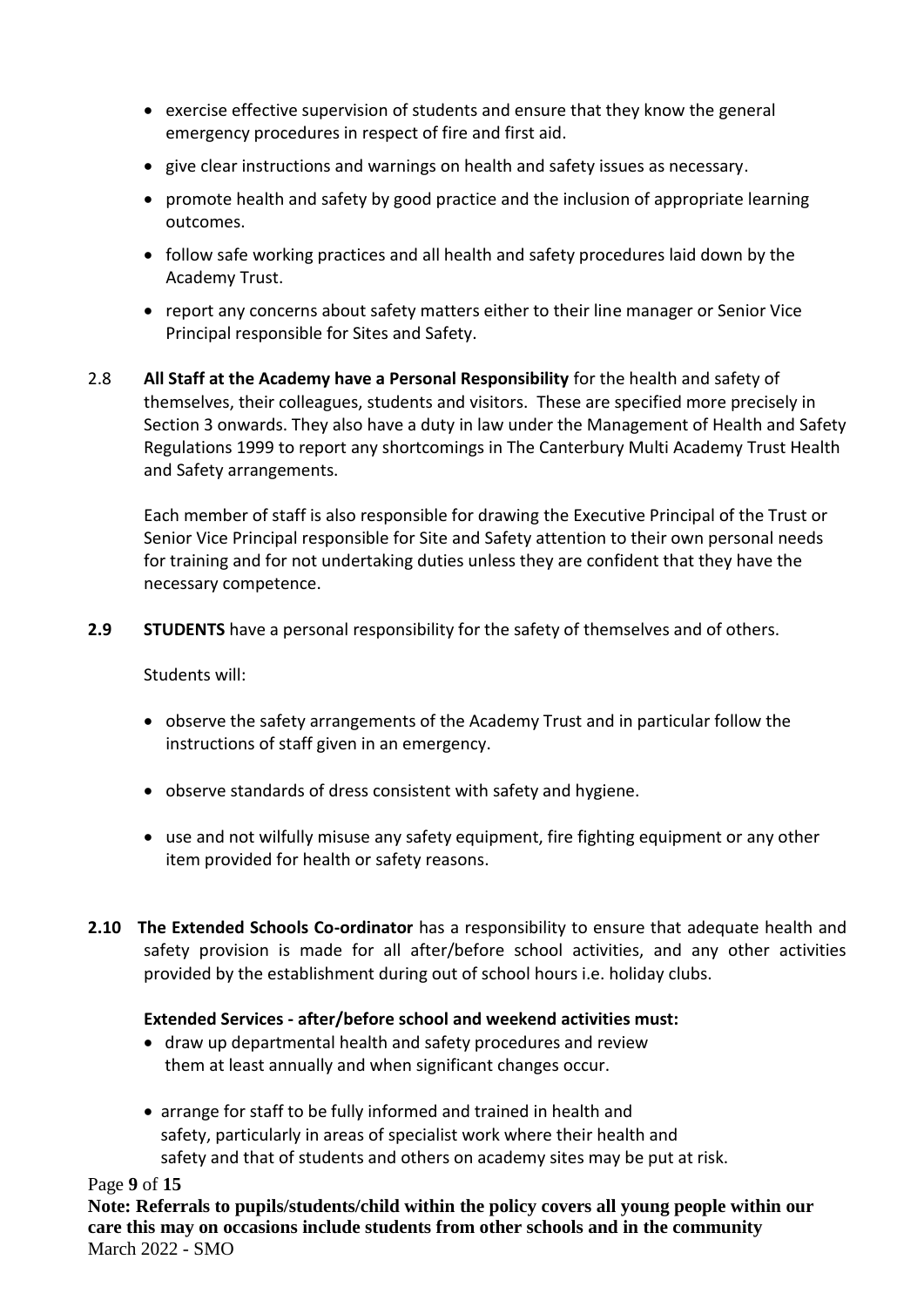- exercise effective supervision of students and ensure that they know the general emergency procedures in respect of fire and first aid.
- give clear instructions and warnings on health and safety issues as necessary.
- promote health and safety by good practice and the inclusion of appropriate learning outcomes.
- follow safe working practices and all health and safety procedures laid down by the Academy Trust.
- report any concerns about safety matters either to their line manager or Senior Vice Principal responsible for Sites and Safety.
- 2.8 **All Staff at the Academy have a Personal Responsibility** for the health and safety of themselves, their colleagues, students and visitors. These are specified more precisely in Section 3 onwards. They also have a duty in law under the Management of Health and Safety Regulations 1999 to report any shortcomings in The Canterbury Multi Academy Trust Health and Safety arrangements.

Each member of staff is also responsible for drawing the Executive Principal of the Trust or Senior Vice Principal responsible for Site and Safety attention to their own personal needs for training and for not undertaking duties unless they are confident that they have the necessary competence.

**2.9 STUDENTS** have a personal responsibility for the safety of themselves and of others.

Students will:

- observe the safety arrangements of the Academy Trust and in particular follow the instructions of staff given in an emergency.
- observe standards of dress consistent with safety and hygiene.
- use and not wilfully misuse any safety equipment, fire fighting equipment or any other item provided for health or safety reasons.
- **2.10 The Extended Schools Co-ordinator** has a responsibility to ensure that adequate health and safety provision is made for all after/before school activities, and any other activities provided by the establishment during out of school hours i.e. holiday clubs.

## **Extended Services - after/before school and weekend activities must:**

- draw up departmental health and safety procedures and review them at least annually and when significant changes occur.
- arrange for staff to be fully informed and trained in health and safety, particularly in areas of specialist work where their health and safety and that of students and others on academy sites may be put at risk.

#### Page **9** of **15**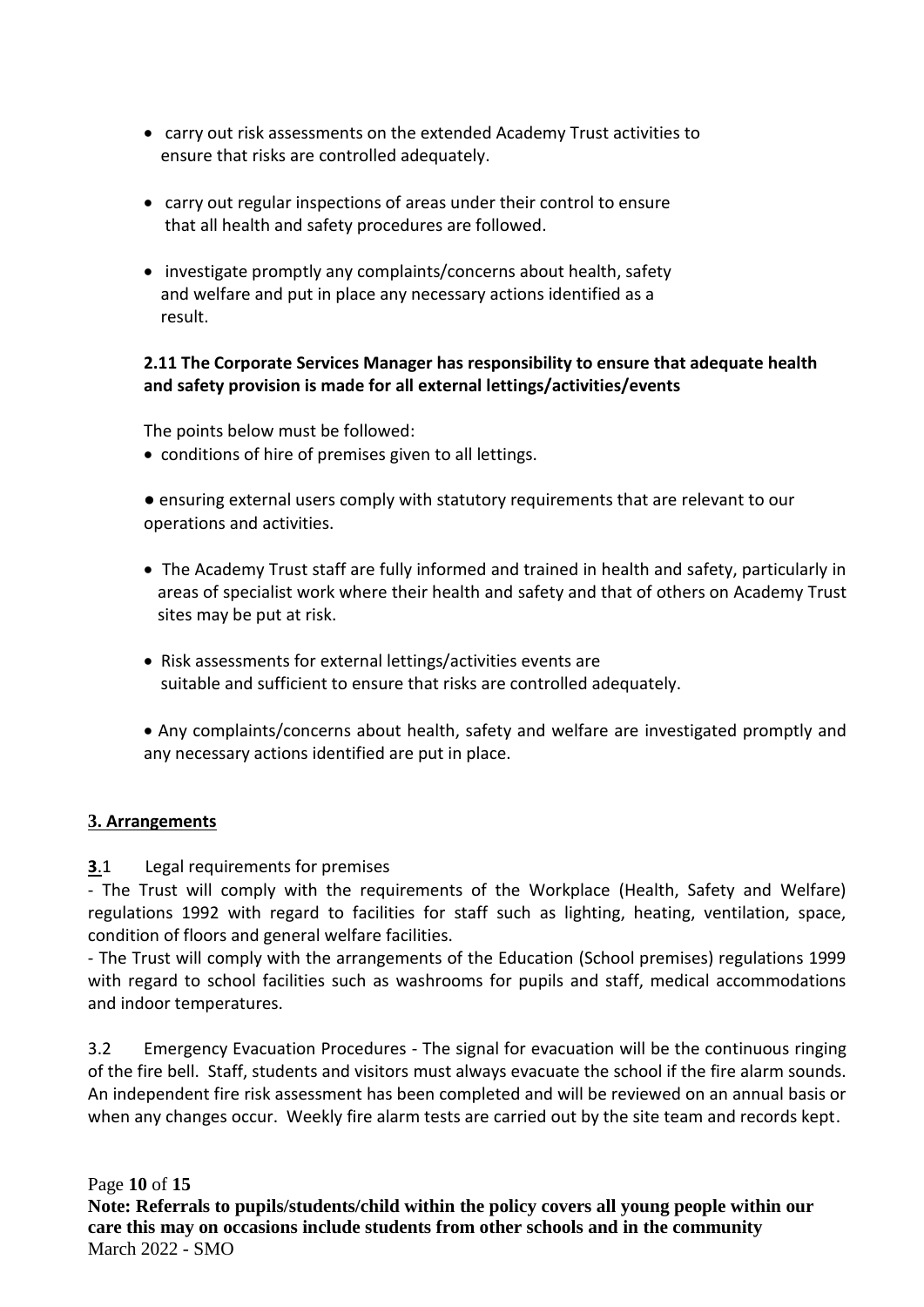- carry out risk assessments on the extended Academy Trust activities to ensure that risks are controlled adequately.
- carry out regular inspections of areas under their control to ensure that all health and safety procedures are followed.
- investigate promptly any complaints/concerns about health, safety and welfare and put in place any necessary actions identified as a result.

## **2.11 The Corporate Services Manager has responsibility to ensure that adequate health and safety provision is made for all external lettings/activities/events**

The points below must be followed:

• conditions of hire of premises given to all lettings.

● ensuring external users comply with statutory requirements that are relevant to our operations and activities.

- The Academy Trust staff are fully informed and trained in health and safety, particularly in areas of specialist work where their health and safety and that of others on Academy Trust sites may be put at risk.
- Risk assessments for external lettings/activities events are suitable and sufficient to ensure that risks are controlled adequately.
- Any complaints/concerns about health, safety and welfare are investigated promptly and any necessary actions identified are put in place.

## **3. Arrangements**

## **3**.1 Legal requirements for premises

- The Trust will comply with the requirements of the Workplace (Health, Safety and Welfare) regulations 1992 with regard to facilities for staff such as lighting, heating, ventilation, space, condition of floors and general welfare facilities.

- The Trust will comply with the arrangements of the Education (School premises) regulations 1999 with regard to school facilities such as washrooms for pupils and staff, medical accommodations and indoor temperatures.

3.2 Emergency Evacuation Procedures - The signal for evacuation will be the continuous ringing of the fire bell. Staff, students and visitors must always evacuate the school if the fire alarm sounds. An independent fire risk assessment has been completed and will be reviewed on an annual basis or when any changes occur. Weekly fire alarm tests are carried out by the site team and records kept.

Page **10** of **15**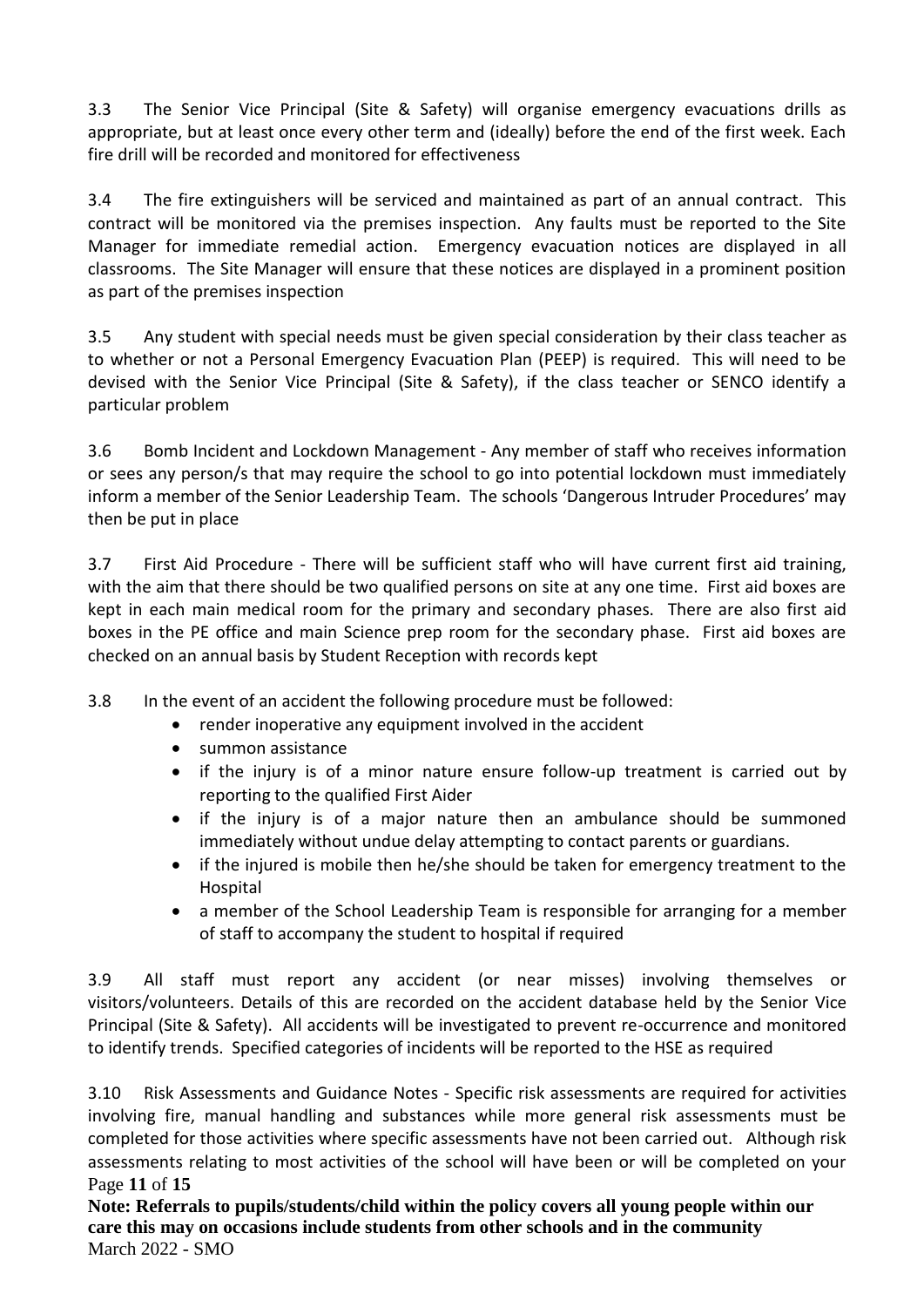3.3 The Senior Vice Principal (Site & Safety) will organise emergency evacuations drills as appropriate, but at least once every other term and (ideally) before the end of the first week. Each fire drill will be recorded and monitored for effectiveness

3.4 The fire extinguishers will be serviced and maintained as part of an annual contract. This contract will be monitored via the premises inspection. Any faults must be reported to the Site Manager for immediate remedial action. Emergency evacuation notices are displayed in all classrooms. The Site Manager will ensure that these notices are displayed in a prominent position as part of the premises inspection

3.5 Any student with special needs must be given special consideration by their class teacher as to whether or not a Personal Emergency Evacuation Plan (PEEP) is required. This will need to be devised with the Senior Vice Principal (Site & Safety), if the class teacher or SENCO identify a particular problem

3.6 Bomb Incident and Lockdown Management - Any member of staff who receives information or sees any person/s that may require the school to go into potential lockdown must immediately inform a member of the Senior Leadership Team. The schools 'Dangerous Intruder Procedures' may then be put in place

3.7 First Aid Procedure - There will be sufficient staff who will have current first aid training, with the aim that there should be two qualified persons on site at any one time. First aid boxes are kept in each main medical room for the primary and secondary phases. There are also first aid boxes in the PE office and main Science prep room for the secondary phase. First aid boxes are checked on an annual basis by Student Reception with records kept

- 3.8 In the event of an accident the following procedure must be followed:
	- render inoperative any equipment involved in the accident
	- summon assistance
	- if the injury is of a minor nature ensure follow-up treatment is carried out by reporting to the qualified First Aider
	- if the injury is of a major nature then an ambulance should be summoned immediately without undue delay attempting to contact parents or guardians.
	- if the injured is mobile then he/she should be taken for emergency treatment to the Hospital
	- a member of the School Leadership Team is responsible for arranging for a member of staff to accompany the student to hospital if required

3.9 All staff must report any accident (or near misses) involving themselves or visitors/volunteers. Details of this are recorded on the accident database held by the Senior Vice Principal (Site & Safety). All accidents will be investigated to prevent re-occurrence and monitored to identify trends. Specified categories of incidents will be reported to the HSE as required

Page **11** of **15** 3.10 Risk Assessments and Guidance Notes - Specific risk assessments are required for activities involving fire, manual handling and substances while more general risk assessments must be completed for those activities where specific assessments have not been carried out. Although risk assessments relating to most activities of the school will have been or will be completed on your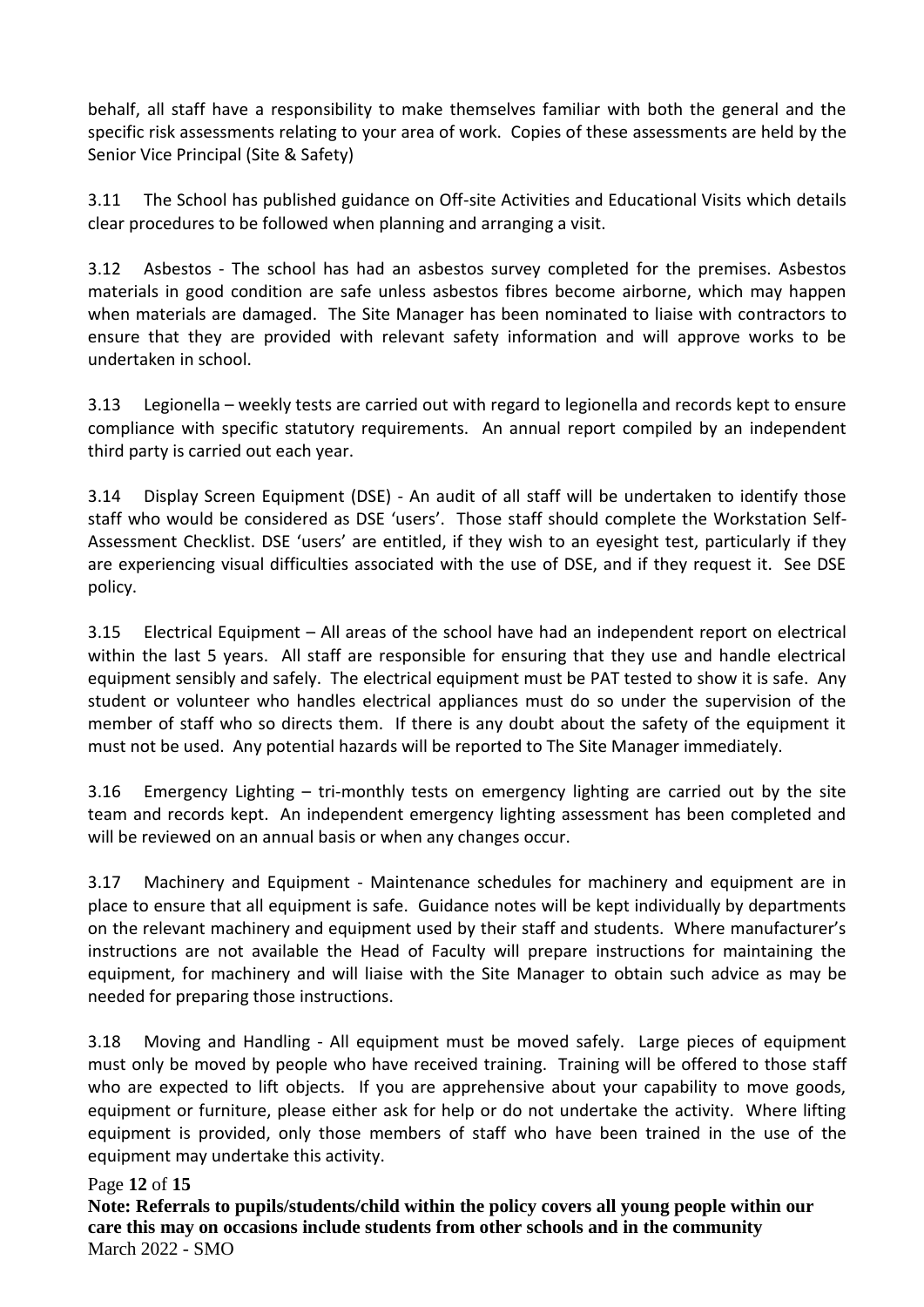behalf, all staff have a responsibility to make themselves familiar with both the general and the specific risk assessments relating to your area of work. Copies of these assessments are held by the Senior Vice Principal (Site & Safety)

3.11 The School has published guidance on Off-site Activities and Educational Visits which details clear procedures to be followed when planning and arranging a visit.

3.12 Asbestos - The school has had an asbestos survey completed for the premises. Asbestos materials in good condition are safe unless asbestos fibres become airborne, which may happen when materials are damaged. The Site Manager has been nominated to liaise with contractors to ensure that they are provided with relevant safety information and will approve works to be undertaken in school.

3.13 Legionella – weekly tests are carried out with regard to legionella and records kept to ensure compliance with specific statutory requirements. An annual report compiled by an independent third party is carried out each year.

3.14 Display Screen Equipment (DSE) - An audit of all staff will be undertaken to identify those staff who would be considered as DSE 'users'. Those staff should complete the Workstation Self-Assessment Checklist. DSE 'users' are entitled, if they wish to an eyesight test, particularly if they are experiencing visual difficulties associated with the use of DSE, and if they request it. See DSE policy.

3.15 Electrical Equipment – All areas of the school have had an independent report on electrical within the last 5 years. All staff are responsible for ensuring that they use and handle electrical equipment sensibly and safely. The electrical equipment must be PAT tested to show it is safe. Any student or volunteer who handles electrical appliances must do so under the supervision of the member of staff who so directs them. If there is any doubt about the safety of the equipment it must not be used. Any potential hazards will be reported to The Site Manager immediately.

3.16 Emergency Lighting – tri-monthly tests on emergency lighting are carried out by the site team and records kept. An independent emergency lighting assessment has been completed and will be reviewed on an annual basis or when any changes occur.

3.17 Machinery and Equipment - Maintenance schedules for machinery and equipment are in place to ensure that all equipment is safe. Guidance notes will be kept individually by departments on the relevant machinery and equipment used by their staff and students. Where manufacturer's instructions are not available the Head of Faculty will prepare instructions for maintaining the equipment, for machinery and will liaise with the Site Manager to obtain such advice as may be needed for preparing those instructions.

3.18 Moving and Handling - All equipment must be moved safely. Large pieces of equipment must only be moved by people who have received training. Training will be offered to those staff who are expected to lift objects. If you are apprehensive about your capability to move goods, equipment or furniture, please either ask for help or do not undertake the activity. Where lifting equipment is provided, only those members of staff who have been trained in the use of the equipment may undertake this activity.

## Page **12** of **15**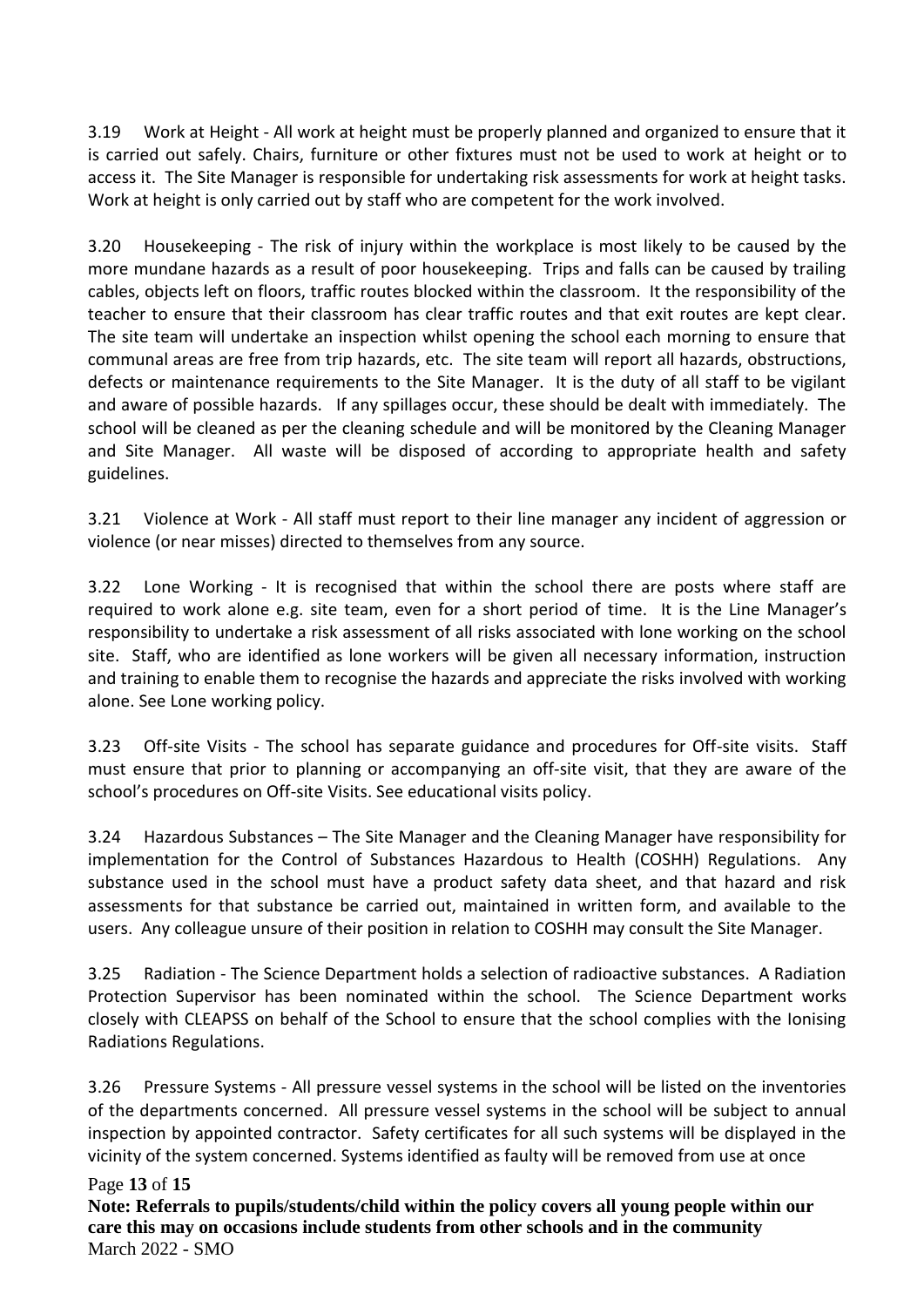3.19 Work at Height - All work at height must be properly planned and organized to ensure that it is carried out safely. Chairs, furniture or other fixtures must not be used to work at height or to access it. The Site Manager is responsible for undertaking risk assessments for work at height tasks. Work at height is only carried out by staff who are competent for the work involved.

3.20 Housekeeping - The risk of injury within the workplace is most likely to be caused by the more mundane hazards as a result of poor housekeeping. Trips and falls can be caused by trailing cables, objects left on floors, traffic routes blocked within the classroom. It the responsibility of the teacher to ensure that their classroom has clear traffic routes and that exit routes are kept clear. The site team will undertake an inspection whilst opening the school each morning to ensure that communal areas are free from trip hazards, etc. The site team will report all hazards, obstructions, defects or maintenance requirements to the Site Manager. It is the duty of all staff to be vigilant and aware of possible hazards. If any spillages occur, these should be dealt with immediately. The school will be cleaned as per the cleaning schedule and will be monitored by the Cleaning Manager and Site Manager. All waste will be disposed of according to appropriate health and safety guidelines.

3.21 Violence at Work - All staff must report to their line manager any incident of aggression or violence (or near misses) directed to themselves from any source.

3.22 Lone Working - It is recognised that within the school there are posts where staff are required to work alone e.g. site team, even for a short period of time. It is the Line Manager's responsibility to undertake a risk assessment of all risks associated with lone working on the school site. Staff, who are identified as lone workers will be given all necessary information, instruction and training to enable them to recognise the hazards and appreciate the risks involved with working alone. See Lone working policy.

3.23 Off-site Visits - The school has separate guidance and procedures for Off-site visits. Staff must ensure that prior to planning or accompanying an off-site visit, that they are aware of the school's procedures on Off-site Visits. See educational visits policy.

3.24 Hazardous Substances – The Site Manager and the Cleaning Manager have responsibility for implementation for the Control of Substances Hazardous to Health (COSHH) Regulations. Any substance used in the school must have a product safety data sheet, and that hazard and risk assessments for that substance be carried out, maintained in written form, and available to the users. Any colleague unsure of their position in relation to COSHH may consult the Site Manager.

3.25 Radiation - The Science Department holds a selection of radioactive substances. A Radiation Protection Supervisor has been nominated within the school. The Science Department works closely with CLEAPSS on behalf of the School to ensure that the school complies with the Ionising Radiations Regulations.

3.26 Pressure Systems - All pressure vessel systems in the school will be listed on the inventories of the departments concerned. All pressure vessel systems in the school will be subject to annual inspection by appointed contractor. Safety certificates for all such systems will be displayed in the vicinity of the system concerned. Systems identified as faulty will be removed from use at once

## Page **13** of **15**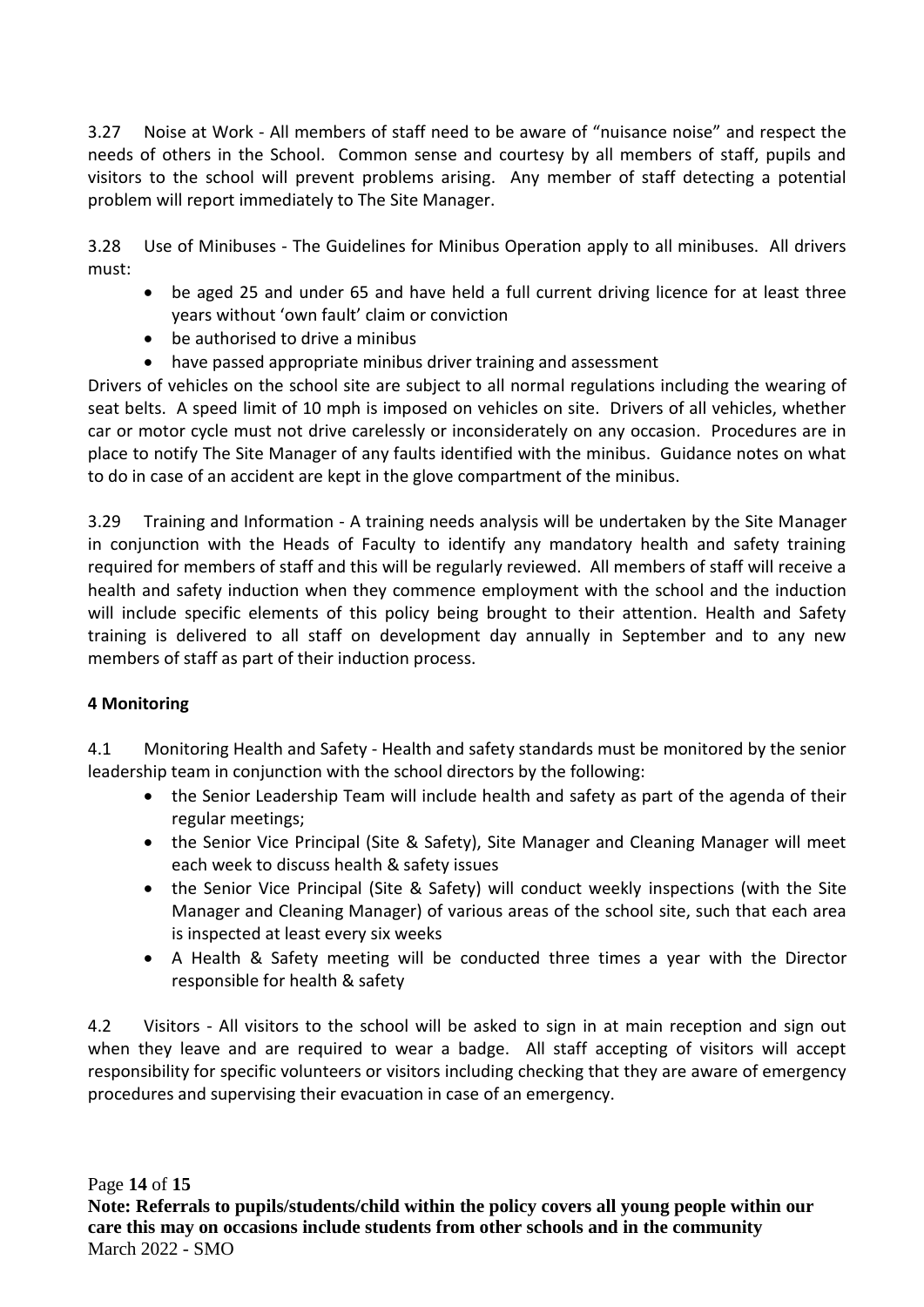3.27 Noise at Work - All members of staff need to be aware of "nuisance noise" and respect the needs of others in the School. Common sense and courtesy by all members of staff, pupils and visitors to the school will prevent problems arising. Any member of staff detecting a potential problem will report immediately to The Site Manager.

3.28 Use of Minibuses - The Guidelines for Minibus Operation apply to all minibuses. All drivers must:

- be aged 25 and under 65 and have held a full current driving licence for at least three years without 'own fault' claim or conviction
- be authorised to drive a minibus
- have passed appropriate minibus driver training and assessment

Drivers of vehicles on the school site are subject to all normal regulations including the wearing of seat belts. A speed limit of 10 mph is imposed on vehicles on site. Drivers of all vehicles, whether car or motor cycle must not drive carelessly or inconsiderately on any occasion. Procedures are in place to notify The Site Manager of any faults identified with the minibus. Guidance notes on what to do in case of an accident are kept in the glove compartment of the minibus.

3.29 Training and Information - A training needs analysis will be undertaken by the Site Manager in conjunction with the Heads of Faculty to identify any mandatory health and safety training required for members of staff and this will be regularly reviewed. All members of staff will receive a health and safety induction when they commence employment with the school and the induction will include specific elements of this policy being brought to their attention. Health and Safety training is delivered to all staff on development day annually in September and to any new members of staff as part of their induction process.

# **4 Monitoring**

4.1 Monitoring Health and Safety - Health and safety standards must be monitored by the senior leadership team in conjunction with the school directors by the following:

- the Senior Leadership Team will include health and safety as part of the agenda of their regular meetings;
- the Senior Vice Principal (Site & Safety), Site Manager and Cleaning Manager will meet each week to discuss health & safety issues
- the Senior Vice Principal (Site & Safety) will conduct weekly inspections (with the Site Manager and Cleaning Manager) of various areas of the school site, such that each area is inspected at least every six weeks
- A Health & Safety meeting will be conducted three times a year with the Director responsible for health & safety

4.2 Visitors - All visitors to the school will be asked to sign in at main reception and sign out when they leave and are required to wear a badge. All staff accepting of visitors will accept responsibility for specific volunteers or visitors including checking that they are aware of emergency procedures and supervising their evacuation in case of an emergency.